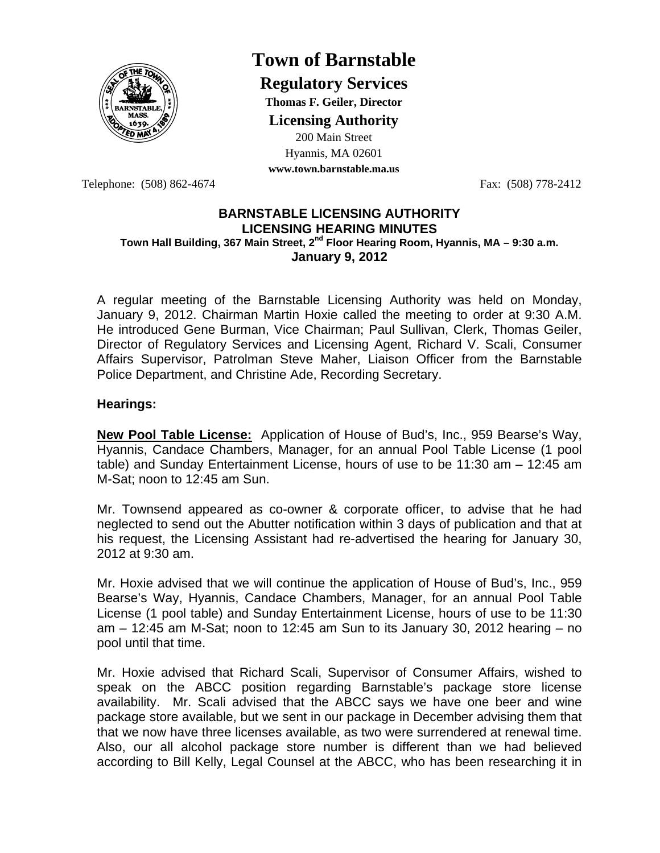

# **Town of Barnstable**

**Regulatory Services**

**Thomas F. Geiler, Director** 

**Licensing Authority**

200 Main Street Hyannis, MA 02601

**www.town.barnstable.ma.us**

Telephone: (508) 862-4674 Fax: (508) 778-2412

## **BARNSTABLE LICENSING AUTHORITY LICENSING HEARING MINUTES Town Hall Building, 367 Main Street, 2nd Floor Hearing Room, Hyannis, MA – 9:30 a.m. January 9, 2012**

A regular meeting of the Barnstable Licensing Authority was held on Monday, January 9, 2012. Chairman Martin Hoxie called the meeting to order at 9:30 A.M. He introduced Gene Burman, Vice Chairman; Paul Sullivan, Clerk, Thomas Geiler, Director of Regulatory Services and Licensing Agent, Richard V. Scali, Consumer Affairs Supervisor, Patrolman Steve Maher, Liaison Officer from the Barnstable Police Department, and Christine Ade, Recording Secretary.

# **Hearings:**

**New Pool Table License:** Application of House of Bud's, Inc., 959 Bearse's Way, Hyannis, Candace Chambers, Manager, for an annual Pool Table License (1 pool table) and Sunday Entertainment License, hours of use to be 11:30 am – 12:45 am M-Sat; noon to 12:45 am Sun.

Mr. Townsend appeared as co-owner & corporate officer, to advise that he had neglected to send out the Abutter notification within 3 days of publication and that at his request, the Licensing Assistant had re-advertised the hearing for January 30, 2012 at 9:30 am.

Mr. Hoxie advised that we will continue the application of House of Bud's, Inc., 959 Bearse's Way, Hyannis, Candace Chambers, Manager, for an annual Pool Table License (1 pool table) and Sunday Entertainment License, hours of use to be 11:30 am  $-$  12:45 am M-Sat; noon to 12:45 am Sun to its January 30, 2012 hearing  $-$  no pool until that time.

Mr. Hoxie advised that Richard Scali, Supervisor of Consumer Affairs, wished to speak on the ABCC position regarding Barnstable's package store license availability. Mr. Scali advised that the ABCC says we have one beer and wine package store available, but we sent in our package in December advising them that that we now have three licenses available, as two were surrendered at renewal time. Also, our all alcohol package store number is different than we had believed according to Bill Kelly, Legal Counsel at the ABCC, who has been researching it in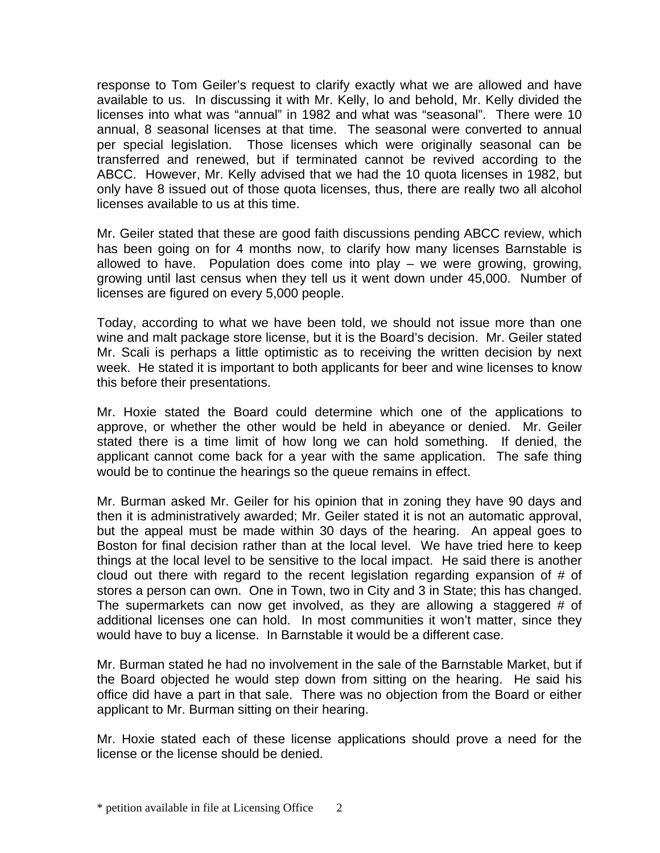response to Tom Geiler's request to clarify exactly what we are allowed and have available to us. In discussing it with Mr. Kelly, lo and behold, Mr. Kelly divided the licenses into what was "annual" in 1982 and what was "seasonal". There were 10 annual, 8 seasonal licenses at that time. The seasonal were converted to annual per special legislation. Those licenses which were originally seasonal can be transferred and renewed, but if terminated cannot be revived according to the ABCC. However, Mr. Kelly advised that we had the 10 quota licenses in 1982, but only have 8 issued out of those quota licenses, thus, there are really two all alcohol licenses available to us at this time.

Mr. Geiler stated that these are good faith discussions pending ABCC review, which has been going on for 4 months now, to clarify how many licenses Barnstable is allowed to have. Population does come into play – we were growing, growing, growing until last census when they tell us it went down under 45,000. Number of licenses are figured on every 5,000 people.

Today, according to what we have been told, we should not issue more than one wine and malt package store license, but it is the Board's decision. Mr. Geiler stated Mr. Scali is perhaps a little optimistic as to receiving the written decision by next week. He stated it is important to both applicants for beer and wine licenses to know this before their presentations.

Mr. Hoxie stated the Board could determine which one of the applications to approve, or whether the other would be held in abeyance or denied. Mr. Geiler stated there is a time limit of how long we can hold something. If denied, the applicant cannot come back for a year with the same application. The safe thing would be to continue the hearings so the queue remains in effect.

Mr. Burman asked Mr. Geiler for his opinion that in zoning they have 90 days and then it is administratively awarded; Mr. Geiler stated it is not an automatic approval, but the appeal must be made within 30 days of the hearing. An appeal goes to Boston for final decision rather than at the local level. We have tried here to keep things at the local level to be sensitive to the local impact. He said there is another cloud out there with regard to the recent legislation regarding expansion of # of stores a person can own. One in Town, two in City and 3 in State; this has changed. The supermarkets can now get involved, as they are allowing a staggered # of additional licenses one can hold. In most communities it won't matter, since they would have to buy a license. In Barnstable it would be a different case.

Mr. Burman stated he had no involvement in the sale of the Barnstable Market, but if the Board objected he would step down from sitting on the hearing. He said his office did have a part in that sale. There was no objection from the Board or either applicant to Mr. Burman sitting on their hearing.

Mr. Hoxie stated each of these license applications should prove a need for the license or the license should be denied.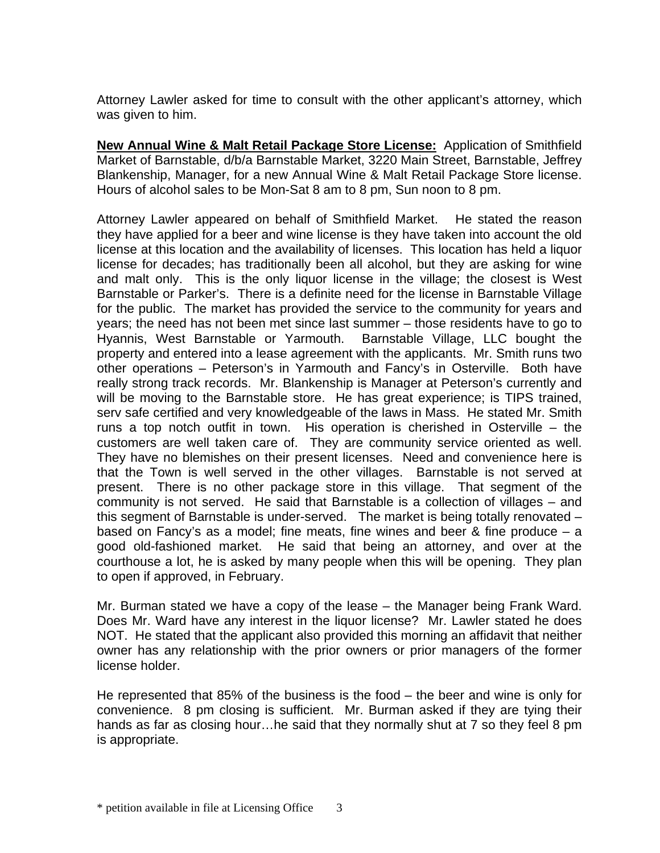Attorney Lawler asked for time to consult with the other applicant's attorney, which was given to him.

**New Annual Wine & Malt Retail Package Store License:** Application of Smithfield Market of Barnstable, d/b/a Barnstable Market, 3220 Main Street, Barnstable, Jeffrey Blankenship, Manager, for a new Annual Wine & Malt Retail Package Store license. Hours of alcohol sales to be Mon-Sat 8 am to 8 pm, Sun noon to 8 pm.

Attorney Lawler appeared on behalf of Smithfield Market. He stated the reason they have applied for a beer and wine license is they have taken into account the old license at this location and the availability of licenses. This location has held a liquor license for decades; has traditionally been all alcohol, but they are asking for wine and malt only. This is the only liquor license in the village; the closest is West Barnstable or Parker's. There is a definite need for the license in Barnstable Village for the public. The market has provided the service to the community for years and years; the need has not been met since last summer – those residents have to go to Hyannis, West Barnstable or Yarmouth. Barnstable Village, LLC bought the property and entered into a lease agreement with the applicants. Mr. Smith runs two other operations – Peterson's in Yarmouth and Fancy's in Osterville. Both have really strong track records. Mr. Blankenship is Manager at Peterson's currently and will be moving to the Barnstable store. He has great experience; is TIPS trained, serv safe certified and very knowledgeable of the laws in Mass. He stated Mr. Smith runs a top notch outfit in town. His operation is cherished in Osterville – the customers are well taken care of. They are community service oriented as well. They have no blemishes on their present licenses. Need and convenience here is that the Town is well served in the other villages. Barnstable is not served at present. There is no other package store in this village. That segment of the community is not served. He said that Barnstable is a collection of villages – and this segment of Barnstable is under-served. The market is being totally renovated – based on Fancy's as a model; fine meats, fine wines and beer & fine produce – a good old-fashioned market. He said that being an attorney, and over at the courthouse a lot, he is asked by many people when this will be opening. They plan to open if approved, in February.

Mr. Burman stated we have a copy of the lease – the Manager being Frank Ward. Does Mr. Ward have any interest in the liquor license? Mr. Lawler stated he does NOT. He stated that the applicant also provided this morning an affidavit that neither owner has any relationship with the prior owners or prior managers of the former license holder.

He represented that 85% of the business is the food – the beer and wine is only for convenience. 8 pm closing is sufficient. Mr. Burman asked if they are tying their hands as far as closing hour...he said that they normally shut at 7 so they feel 8 pm is appropriate.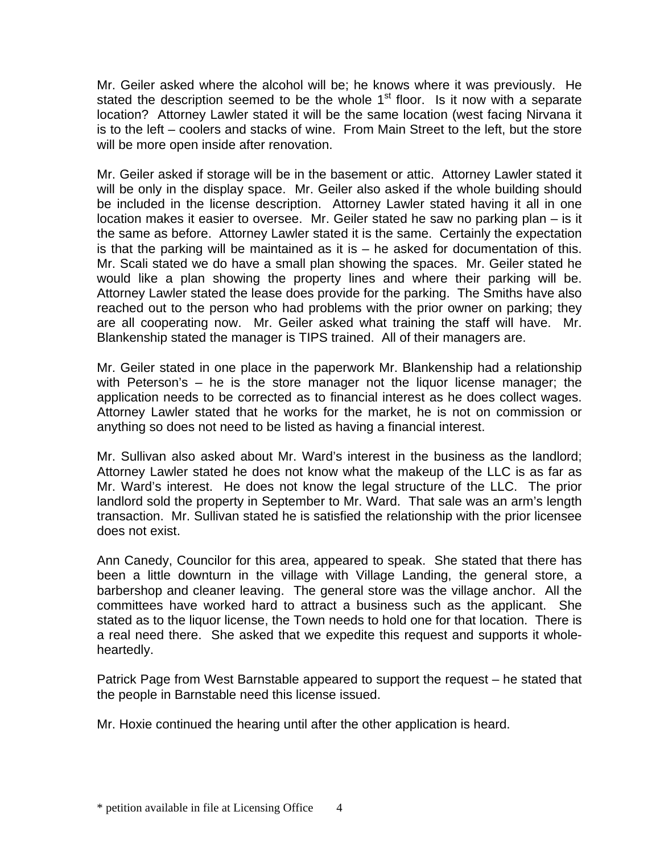Mr. Geiler asked where the alcohol will be; he knows where it was previously. He stated the description seemed to be the whole  $1<sup>st</sup>$  floor. Is it now with a separate location? Attorney Lawler stated it will be the same location (west facing Nirvana it is to the left – coolers and stacks of wine. From Main Street to the left, but the store will be more open inside after renovation.

Mr. Geiler asked if storage will be in the basement or attic. Attorney Lawler stated it will be only in the display space. Mr. Geiler also asked if the whole building should be included in the license description. Attorney Lawler stated having it all in one location makes it easier to oversee. Mr. Geiler stated he saw no parking plan – is it the same as before. Attorney Lawler stated it is the same. Certainly the expectation is that the parking will be maintained as it is  $-$  he asked for documentation of this. Mr. Scali stated we do have a small plan showing the spaces. Mr. Geiler stated he would like a plan showing the property lines and where their parking will be. Attorney Lawler stated the lease does provide for the parking. The Smiths have also reached out to the person who had problems with the prior owner on parking; they are all cooperating now. Mr. Geiler asked what training the staff will have. Mr. Blankenship stated the manager is TIPS trained. All of their managers are.

Mr. Geiler stated in one place in the paperwork Mr. Blankenship had a relationship with Peterson's – he is the store manager not the liquor license manager; the application needs to be corrected as to financial interest as he does collect wages. Attorney Lawler stated that he works for the market, he is not on commission or anything so does not need to be listed as having a financial interest.

Mr. Sullivan also asked about Mr. Ward's interest in the business as the landlord; Attorney Lawler stated he does not know what the makeup of the LLC is as far as Mr. Ward's interest. He does not know the legal structure of the LLC. The prior landlord sold the property in September to Mr. Ward. That sale was an arm's length transaction. Mr. Sullivan stated he is satisfied the relationship with the prior licensee does not exist.

Ann Canedy, Councilor for this area, appeared to speak. She stated that there has been a little downturn in the village with Village Landing, the general store, a barbershop and cleaner leaving. The general store was the village anchor. All the committees have worked hard to attract a business such as the applicant. She stated as to the liquor license, the Town needs to hold one for that location. There is a real need there. She asked that we expedite this request and supports it wholeheartedly.

Patrick Page from West Barnstable appeared to support the request – he stated that the people in Barnstable need this license issued.

Mr. Hoxie continued the hearing until after the other application is heard.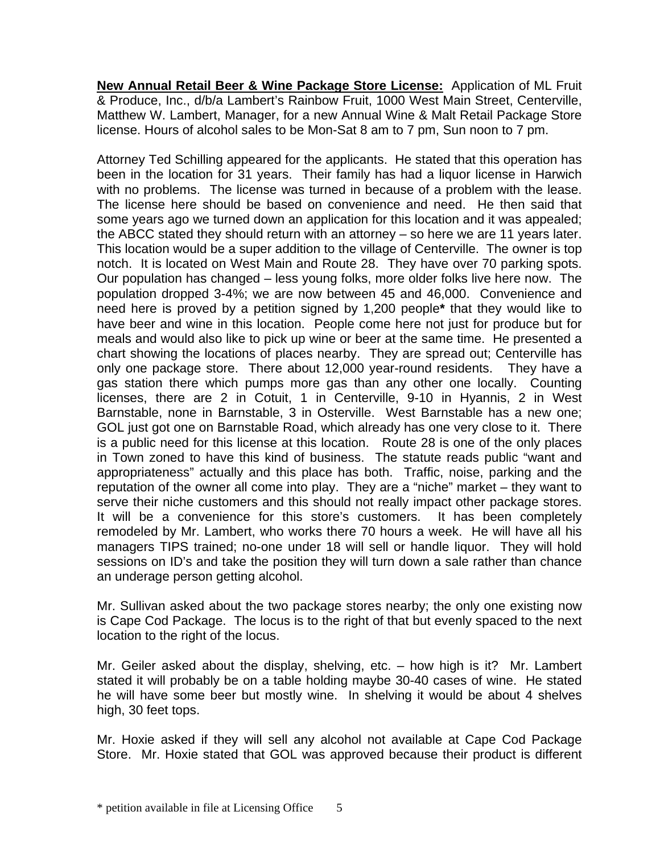**New Annual Retail Beer & Wine Package Store License:** Application of ML Fruit & Produce, Inc., d/b/a Lambert's Rainbow Fruit, 1000 West Main Street, Centerville, Matthew W. Lambert, Manager, for a new Annual Wine & Malt Retail Package Store license. Hours of alcohol sales to be Mon-Sat 8 am to 7 pm, Sun noon to 7 pm.

Attorney Ted Schilling appeared for the applicants. He stated that this operation has been in the location for 31 years. Their family has had a liquor license in Harwich with no problems. The license was turned in because of a problem with the lease. The license here should be based on convenience and need. He then said that some years ago we turned down an application for this location and it was appealed; the ABCC stated they should return with an attorney – so here we are 11 years later. This location would be a super addition to the village of Centerville. The owner is top notch. It is located on West Main and Route 28. They have over 70 parking spots. Our population has changed – less young folks, more older folks live here now. The population dropped 3-4%; we are now between 45 and 46,000. Convenience and need here is proved by a petition signed by 1,200 people**\*** that they would like to have beer and wine in this location. People come here not just for produce but for meals and would also like to pick up wine or beer at the same time. He presented a chart showing the locations of places nearby. They are spread out; Centerville has only one package store. There about 12,000 year-round residents. They have a gas station there which pumps more gas than any other one locally. Counting licenses, there are 2 in Cotuit, 1 in Centerville, 9-10 in Hyannis, 2 in West Barnstable, none in Barnstable, 3 in Osterville. West Barnstable has a new one; GOL just got one on Barnstable Road, which already has one very close to it. There is a public need for this license at this location. Route 28 is one of the only places in Town zoned to have this kind of business. The statute reads public "want and appropriateness" actually and this place has both. Traffic, noise, parking and the reputation of the owner all come into play. They are a "niche" market – they want to serve their niche customers and this should not really impact other package stores. It will be a convenience for this store's customers. It has been completely remodeled by Mr. Lambert, who works there 70 hours a week. He will have all his managers TIPS trained; no-one under 18 will sell or handle liquor. They will hold sessions on ID's and take the position they will turn down a sale rather than chance an underage person getting alcohol.

Mr. Sullivan asked about the two package stores nearby; the only one existing now is Cape Cod Package. The locus is to the right of that but evenly spaced to the next location to the right of the locus.

Mr. Geiler asked about the display, shelving, etc. – how high is it? Mr. Lambert stated it will probably be on a table holding maybe 30-40 cases of wine. He stated he will have some beer but mostly wine. In shelving it would be about 4 shelves high, 30 feet tops.

Mr. Hoxie asked if they will sell any alcohol not available at Cape Cod Package Store. Mr. Hoxie stated that GOL was approved because their product is different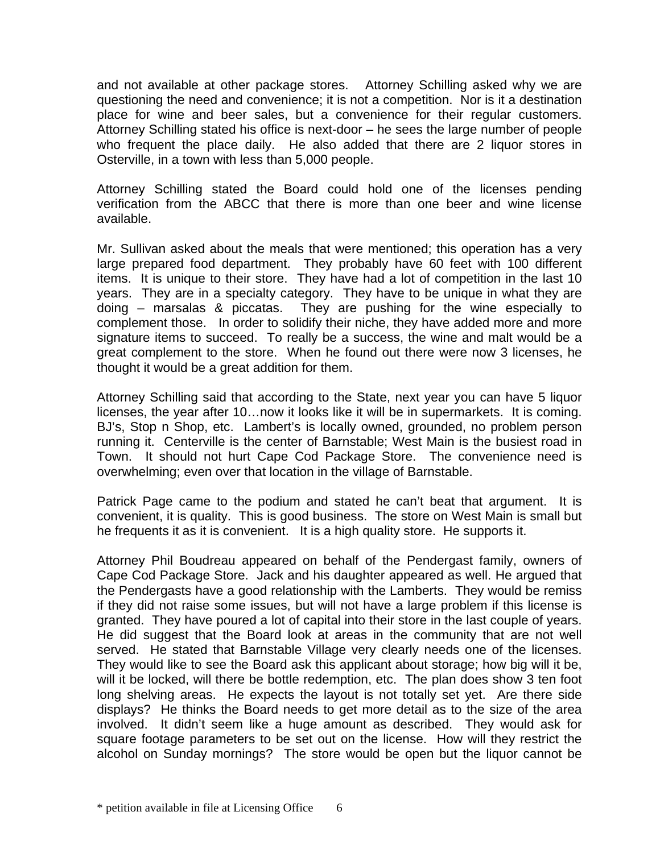and not available at other package stores. Attorney Schilling asked why we are questioning the need and convenience; it is not a competition. Nor is it a destination place for wine and beer sales, but a convenience for their regular customers. Attorney Schilling stated his office is next-door – he sees the large number of people who frequent the place daily. He also added that there are 2 liquor stores in Osterville, in a town with less than 5,000 people.

Attorney Schilling stated the Board could hold one of the licenses pending verification from the ABCC that there is more than one beer and wine license available.

Mr. Sullivan asked about the meals that were mentioned; this operation has a very large prepared food department. They probably have 60 feet with 100 different items. It is unique to their store. They have had a lot of competition in the last 10 years. They are in a specialty category. They have to be unique in what they are doing – marsalas & piccatas. They are pushing for the wine especially to complement those. In order to solidify their niche, they have added more and more signature items to succeed. To really be a success, the wine and malt would be a great complement to the store. When he found out there were now 3 licenses, he thought it would be a great addition for them.

Attorney Schilling said that according to the State, next year you can have 5 liquor licenses, the year after 10…now it looks like it will be in supermarkets. It is coming. BJ's, Stop n Shop, etc. Lambert's is locally owned, grounded, no problem person running it. Centerville is the center of Barnstable; West Main is the busiest road in Town. It should not hurt Cape Cod Package Store. The convenience need is overwhelming; even over that location in the village of Barnstable.

Patrick Page came to the podium and stated he can't beat that argument. It is convenient, it is quality. This is good business. The store on West Main is small but he frequents it as it is convenient. It is a high quality store. He supports it.

Attorney Phil Boudreau appeared on behalf of the Pendergast family, owners of Cape Cod Package Store. Jack and his daughter appeared as well. He argued that the Pendergasts have a good relationship with the Lamberts. They would be remiss if they did not raise some issues, but will not have a large problem if this license is granted. They have poured a lot of capital into their store in the last couple of years. He did suggest that the Board look at areas in the community that are not well served. He stated that Barnstable Village very clearly needs one of the licenses. They would like to see the Board ask this applicant about storage; how big will it be, will it be locked, will there be bottle redemption, etc. The plan does show 3 ten foot long shelving areas. He expects the layout is not totally set yet. Are there side displays? He thinks the Board needs to get more detail as to the size of the area involved. It didn't seem like a huge amount as described. They would ask for square footage parameters to be set out on the license. How will they restrict the alcohol on Sunday mornings? The store would be open but the liquor cannot be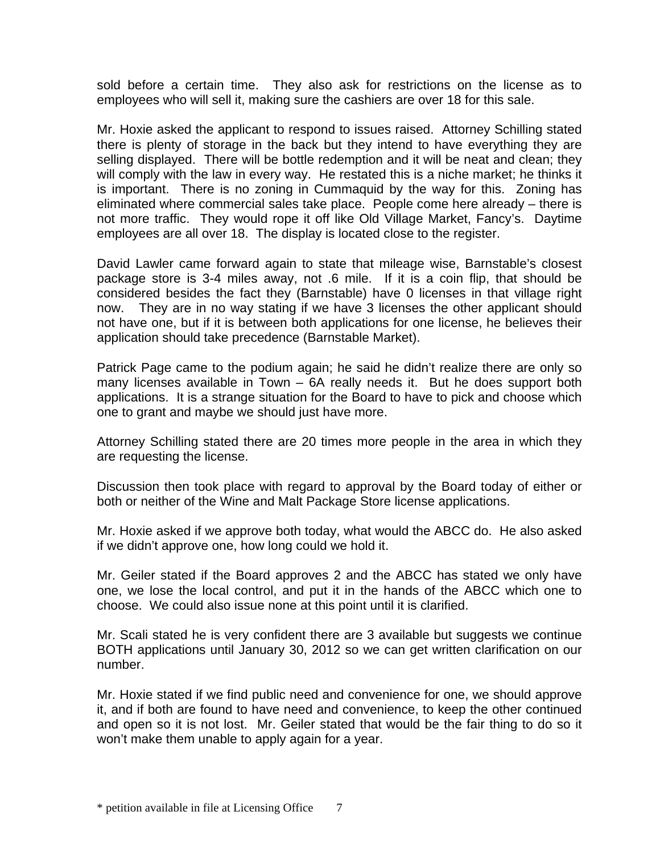sold before a certain time. They also ask for restrictions on the license as to employees who will sell it, making sure the cashiers are over 18 for this sale.

Mr. Hoxie asked the applicant to respond to issues raised. Attorney Schilling stated there is plenty of storage in the back but they intend to have everything they are selling displayed. There will be bottle redemption and it will be neat and clean; they will comply with the law in every way. He restated this is a niche market; he thinks it is important. There is no zoning in Cummaquid by the way for this. Zoning has eliminated where commercial sales take place. People come here already – there is not more traffic. They would rope it off like Old Village Market, Fancy's. Daytime employees are all over 18. The display is located close to the register.

David Lawler came forward again to state that mileage wise, Barnstable's closest package store is 3-4 miles away, not .6 mile. If it is a coin flip, that should be considered besides the fact they (Barnstable) have 0 licenses in that village right now. They are in no way stating if we have 3 licenses the other applicant should not have one, but if it is between both applications for one license, he believes their application should take precedence (Barnstable Market).

Patrick Page came to the podium again; he said he didn't realize there are only so many licenses available in Town – 6A really needs it. But he does support both applications. It is a strange situation for the Board to have to pick and choose which one to grant and maybe we should just have more.

Attorney Schilling stated there are 20 times more people in the area in which they are requesting the license.

Discussion then took place with regard to approval by the Board today of either or both or neither of the Wine and Malt Package Store license applications.

Mr. Hoxie asked if we approve both today, what would the ABCC do. He also asked if we didn't approve one, how long could we hold it.

Mr. Geiler stated if the Board approves 2 and the ABCC has stated we only have one, we lose the local control, and put it in the hands of the ABCC which one to choose. We could also issue none at this point until it is clarified.

Mr. Scali stated he is very confident there are 3 available but suggests we continue BOTH applications until January 30, 2012 so we can get written clarification on our number.

Mr. Hoxie stated if we find public need and convenience for one, we should approve it, and if both are found to have need and convenience, to keep the other continued and open so it is not lost. Mr. Geiler stated that would be the fair thing to do so it won't make them unable to apply again for a year.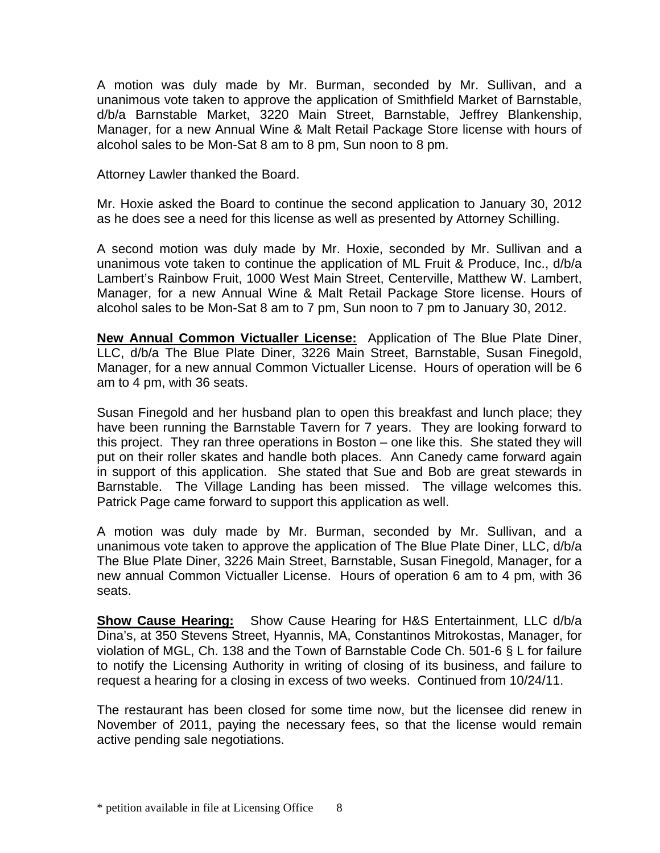A motion was duly made by Mr. Burman, seconded by Mr. Sullivan, and a unanimous vote taken to approve the application of Smithfield Market of Barnstable, d/b/a Barnstable Market, 3220 Main Street, Barnstable, Jeffrey Blankenship, Manager, for a new Annual Wine & Malt Retail Package Store license with hours of alcohol sales to be Mon-Sat 8 am to 8 pm, Sun noon to 8 pm.

Attorney Lawler thanked the Board.

Mr. Hoxie asked the Board to continue the second application to January 30, 2012 as he does see a need for this license as well as presented by Attorney Schilling.

A second motion was duly made by Mr. Hoxie, seconded by Mr. Sullivan and a unanimous vote taken to continue the application of ML Fruit & Produce, Inc., d/b/a Lambert's Rainbow Fruit, 1000 West Main Street, Centerville, Matthew W. Lambert, Manager, for a new Annual Wine & Malt Retail Package Store license. Hours of alcohol sales to be Mon-Sat 8 am to 7 pm, Sun noon to 7 pm to January 30, 2012.

**New Annual Common Victualler License:** Application of The Blue Plate Diner, LLC, d/b/a The Blue Plate Diner, 3226 Main Street, Barnstable, Susan Finegold, Manager, for a new annual Common Victualler License. Hours of operation will be 6 am to 4 pm, with 36 seats.

Susan Finegold and her husband plan to open this breakfast and lunch place; they have been running the Barnstable Tavern for 7 years. They are looking forward to this project. They ran three operations in Boston – one like this. She stated they will put on their roller skates and handle both places. Ann Canedy came forward again in support of this application. She stated that Sue and Bob are great stewards in Barnstable. The Village Landing has been missed. The village welcomes this. Patrick Page came forward to support this application as well.

A motion was duly made by Mr. Burman, seconded by Mr. Sullivan, and a unanimous vote taken to approve the application of The Blue Plate Diner, LLC, d/b/a The Blue Plate Diner, 3226 Main Street, Barnstable, Susan Finegold, Manager, for a new annual Common Victualler License. Hours of operation 6 am to 4 pm, with 36 seats.

**Show Cause Hearing:** Show Cause Hearing for H&S Entertainment, LLC d/b/a Dina's, at 350 Stevens Street, Hyannis, MA, Constantinos Mitrokostas, Manager, for violation of MGL, Ch. 138 and the Town of Barnstable Code Ch. 501-6 § L for failure to notify the Licensing Authority in writing of closing of its business, and failure to request a hearing for a closing in excess of two weeks. Continued from 10/24/11.

The restaurant has been closed for some time now, but the licensee did renew in November of 2011, paying the necessary fees, so that the license would remain active pending sale negotiations.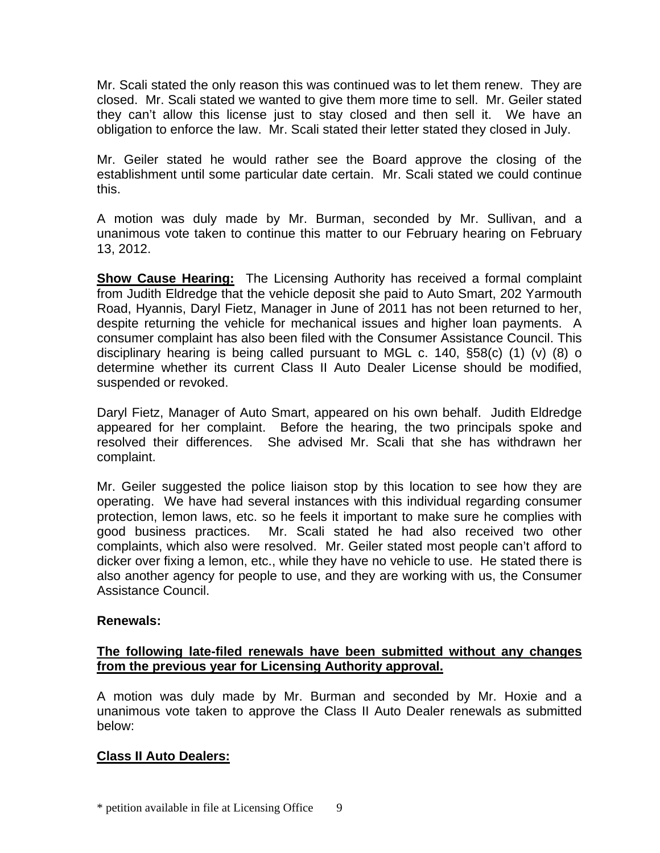Mr. Scali stated the only reason this was continued was to let them renew. They are closed. Mr. Scali stated we wanted to give them more time to sell. Mr. Geiler stated they can't allow this license just to stay closed and then sell it. We have an obligation to enforce the law. Mr. Scali stated their letter stated they closed in July.

Mr. Geiler stated he would rather see the Board approve the closing of the establishment until some particular date certain. Mr. Scali stated we could continue this.

A motion was duly made by Mr. Burman, seconded by Mr. Sullivan, and a unanimous vote taken to continue this matter to our February hearing on February 13, 2012.

**Show Cause Hearing:** The Licensing Authority has received a formal complaint from Judith Eldredge that the vehicle deposit she paid to Auto Smart, 202 Yarmouth Road, Hyannis, Daryl Fietz, Manager in June of 2011 has not been returned to her, despite returning the vehicle for mechanical issues and higher loan payments. A consumer complaint has also been filed with the Consumer Assistance Council. This disciplinary hearing is being called pursuant to MGL c. 140, §58(c) (1) (v) (8) o determine whether its current Class II Auto Dealer License should be modified, suspended or revoked.

Daryl Fietz, Manager of Auto Smart, appeared on his own behalf. Judith Eldredge appeared for her complaint. Before the hearing, the two principals spoke and resolved their differences. She advised Mr. Scali that she has withdrawn her complaint.

Mr. Geiler suggested the police liaison stop by this location to see how they are operating. We have had several instances with this individual regarding consumer protection, lemon laws, etc. so he feels it important to make sure he complies with good business practices. Mr. Scali stated he had also received two other complaints, which also were resolved. Mr. Geiler stated most people can't afford to dicker over fixing a lemon, etc., while they have no vehicle to use. He stated there is also another agency for people to use, and they are working with us, the Consumer Assistance Council.

## **Renewals:**

# **The following late-filed renewals have been submitted without any changes from the previous year for Licensing Authority approval.**

A motion was duly made by Mr. Burman and seconded by Mr. Hoxie and a unanimous vote taken to approve the Class II Auto Dealer renewals as submitted below:

# **Class II Auto Dealers:**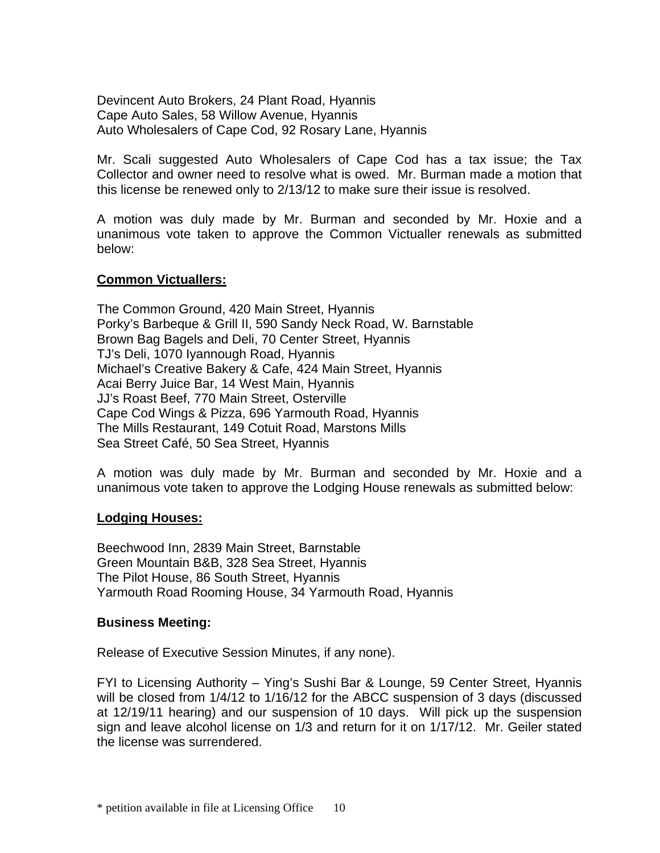Devincent Auto Brokers, 24 Plant Road, Hyannis Cape Auto Sales, 58 Willow Avenue, Hyannis Auto Wholesalers of Cape Cod, 92 Rosary Lane, Hyannis

Mr. Scali suggested Auto Wholesalers of Cape Cod has a tax issue; the Tax Collector and owner need to resolve what is owed. Mr. Burman made a motion that this license be renewed only to 2/13/12 to make sure their issue is resolved.

A motion was duly made by Mr. Burman and seconded by Mr. Hoxie and a unanimous vote taken to approve the Common Victualler renewals as submitted below:

## **Common Victuallers:**

The Common Ground, 420 Main Street, Hyannis Porky's Barbeque & Grill II, 590 Sandy Neck Road, W. Barnstable Brown Bag Bagels and Deli, 70 Center Street, Hyannis TJ's Deli, 1070 Iyannough Road, Hyannis Michael's Creative Bakery & Cafe, 424 Main Street, Hyannis Acai Berry Juice Bar, 14 West Main, Hyannis JJ's Roast Beef, 770 Main Street, Osterville Cape Cod Wings & Pizza, 696 Yarmouth Road, Hyannis The Mills Restaurant, 149 Cotuit Road, Marstons Mills Sea Street Café, 50 Sea Street, Hyannis

A motion was duly made by Mr. Burman and seconded by Mr. Hoxie and a unanimous vote taken to approve the Lodging House renewals as submitted below:

#### **Lodging Houses:**

Beechwood Inn, 2839 Main Street, Barnstable Green Mountain B&B, 328 Sea Street, Hyannis The Pilot House, 86 South Street, Hyannis Yarmouth Road Rooming House, 34 Yarmouth Road, Hyannis

#### **Business Meeting:**

Release of Executive Session Minutes, if any none).

FYI to Licensing Authority – Ying's Sushi Bar & Lounge, 59 Center Street, Hyannis will be closed from 1/4/12 to 1/16/12 for the ABCC suspension of 3 days (discussed at 12/19/11 hearing) and our suspension of 10 days. Will pick up the suspension sign and leave alcohol license on 1/3 and return for it on 1/17/12. Mr. Geiler stated the license was surrendered.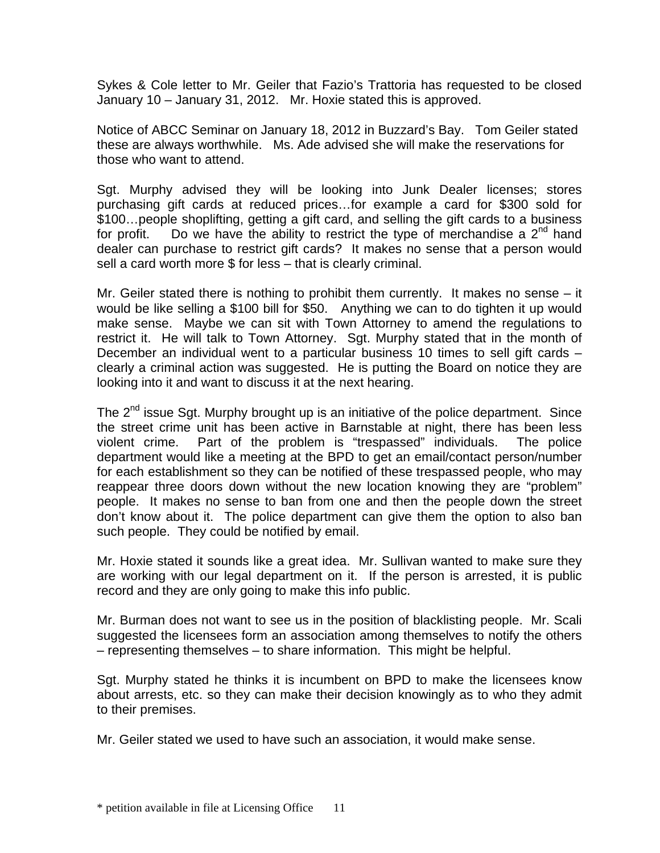Sykes & Cole letter to Mr. Geiler that Fazio's Trattoria has requested to be closed January 10 – January 31, 2012. Mr. Hoxie stated this is approved.

Notice of ABCC Seminar on January 18, 2012 in Buzzard's Bay. Tom Geiler stated these are always worthwhile. Ms. Ade advised she will make the reservations for those who want to attend.

Sgt. Murphy advised they will be looking into Junk Dealer licenses; stores purchasing gift cards at reduced prices…for example a card for \$300 sold for \$100…people shoplifting, getting a gift card, and selling the gift cards to a business for profit. Do we have the ability to restrict the type of merchandise a  $2^{nd}$  hand dealer can purchase to restrict gift cards? It makes no sense that a person would sell a card worth more \$ for less – that is clearly criminal.

Mr. Geiler stated there is nothing to prohibit them currently. It makes no sense – it would be like selling a \$100 bill for \$50. Anything we can to do tighten it up would make sense. Maybe we can sit with Town Attorney to amend the regulations to restrict it. He will talk to Town Attorney. Sgt. Murphy stated that in the month of December an individual went to a particular business 10 times to sell gift cards – clearly a criminal action was suggested. He is putting the Board on notice they are looking into it and want to discuss it at the next hearing.

The 2<sup>nd</sup> issue Sqt. Murphy brought up is an initiative of the police department. Since the street crime unit has been active in Barnstable at night, there has been less violent crime. Part of the problem is "trespassed" individuals. The police department would like a meeting at the BPD to get an email/contact person/number for each establishment so they can be notified of these trespassed people, who may reappear three doors down without the new location knowing they are "problem" people. It makes no sense to ban from one and then the people down the street don't know about it. The police department can give them the option to also ban such people. They could be notified by email.

Mr. Hoxie stated it sounds like a great idea. Mr. Sullivan wanted to make sure they are working with our legal department on it. If the person is arrested, it is public record and they are only going to make this info public.

Mr. Burman does not want to see us in the position of blacklisting people. Mr. Scali suggested the licensees form an association among themselves to notify the others – representing themselves – to share information. This might be helpful.

Sgt. Murphy stated he thinks it is incumbent on BPD to make the licensees know about arrests, etc. so they can make their decision knowingly as to who they admit to their premises.

Mr. Geiler stated we used to have such an association, it would make sense.